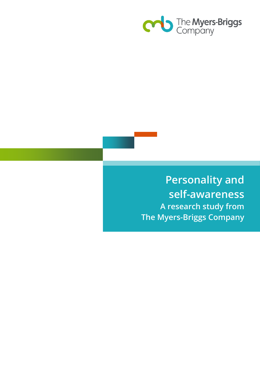

# **Personality and self-awareness A research study from The Myers-Briggs Company**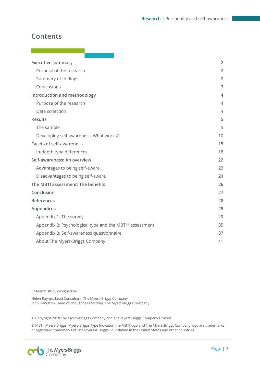## **Contents**

| <b>Executive summary</b>                                | 2              |
|---------------------------------------------------------|----------------|
| Purpose of the research                                 | $\overline{2}$ |
| Summary of findings                                     | 2              |
| Conclusions                                             | 3              |
| Introduction and methodology                            | 4              |
| Purpose of the research                                 | $\overline{4}$ |
| Data collection                                         | $\overline{4}$ |
| <b>Results</b>                                          | 5              |
| The sample                                              | 5              |
| Developing self-awareness: What works?                  | 10             |
| <b>Facets of self-awareness</b>                         | 15             |
| In-depth type differences                               | 18             |
| Self-awareness: An overview                             | 22             |
| Advantages to being self-aware                          | 23             |
| Disadvantages to being self-aware                       | 24             |
| The MBTI assessment: The benefits                       | 26             |
| Conclusion                                              | 27             |
| References                                              | 28             |
| Appendices                                              | 29             |
| Appendix 1: The survey                                  | 29             |
| Appendix 2: Psychological type and the MBTI® assessment | 35             |
| Appendix 3: Self-awareness questionnaire                | 37             |
| About The Myers-Briggs Company                          | 41             |

Research study designed by:

Helen Rayner, Lead Consultant, The Myers-Briggs Company John Hackston, Head of Thought Leadership, The Myers-Briggs Company

© Copyright 2018 The Myers-Briggs Company and The Myers-Briggs Company Limited.

® MBTI, Myers-Briggs, Myers-Briggs Type Indicator, the MBTI logo and The Myers-Briggs Company logo are trademarks or registered trademarks of The Myers & Briggs Foundation in the United States and other countries.

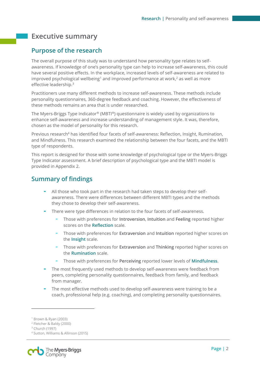## <span id="page-2-0"></span>**Executive summary**

### <span id="page-2-1"></span>**Purpose of the research**

The overall purpose of this study was to understand how personality type relates to selfawareness. If knowledge of one's personality type can help to increase self-awareness, this could have several positive effects. In the workplace, increased levels of self-awareness are related to improved psychological wellbeing<sup>1</sup> and improved performance at work,<sup>2</sup> as well as more effective leadership. 3

Practitioners use many different methods to increase self-awareness. These methods include personality questionnaires, 360-degree feedback and coaching. However, the effectiveness of these methods remains an area that is under researched.

The Myers-Briggs Type Indicator® (MBTI®) questionnaire is widely used by organizations to enhance self-awareness and increase understanding of management style. It was, therefore, chosen as the model of personality for this research.

Previous research<sup>4</sup> has identified four facets of self-awareness: Reflection, Insight, Rumination, and Mindfulness. This research examined the relationship between the four facets, and the MBTI type of respondents.

This report is designed for those with some knowledge of psychological type or the Myers-Briggs Type Indicator assessment. A brief description of psychological type and the MBTI model is provided in Appendix 2.

### <span id="page-2-2"></span>**Summary of findings**

- All those who took part in the research had taken steps to develop their selfawareness. There were differences between different MBTI types and the methods they chose to develop their self-awareness.
- There were type differences in relation to the four facets of self-awareness.
	- Those with preferences for **Introversion**, **Intuition** and **Feeling** reported higher scores on the **Reflection** scale.
	- Those with preferences for **Extraversion** and **Intuition** reported higher scores on the **Insight** scale.
	- Those with preferences for **Extraversion** and **Thinking** reported higher scores on the **Rumination** scale.
	- Those with preferences for **Perceiving** reported lower levels of **Mindfulness**.
- The most frequently used methods to develop self-awareness were feedback from peers, completing personality questionnaires, feedback from family, and feedback from manager.
- The most effective methods used to develop self-awareness were training to be a coach, professional help (e.g. coaching), and completing personality questionnaires.

 $\overline{a}$ 

<sup>4</sup> Sutton, Williams & Allinson (2015)



<sup>1</sup> Brown & Ryan (2003)

<sup>2</sup> Fletcher & Baldy (2000)

<sup>3</sup> Church (1997)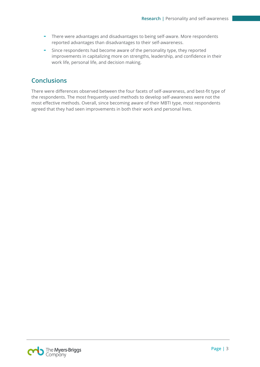- There were advantages and disadvantages to being self-aware. More respondents reported advantages than disadvantages to their self-awareness.
- Since respondents had become aware of the personality type, they reported improvements in capitalizing more on strengths, leadership, and confidence in their work life, personal life, and decision making.

## <span id="page-3-0"></span>**Conclusions**

There were differences observed between the four facets of self-awareness, and best-fit type of the respondents. The most frequently used methods to develop self-awareness were not the most effective methods. Overall, since becoming aware of their MBTI type, most respondents agreed that they had seen improvements in both their work and personal lives.

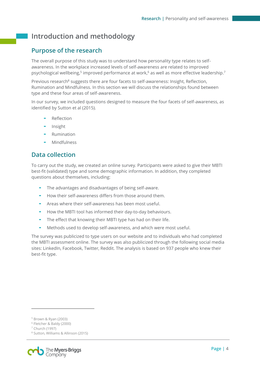## <span id="page-4-0"></span>**Introduction and methodology**

## <span id="page-4-1"></span>**Purpose of the research**

The overall purpose of this study was to understand how personality type relates to selfawareness. In the workplace increased levels of self-awareness are related to improved psychological wellbeing,<sup>5</sup> improved performance at work,<sup>6</sup> as well as more effective leadership.<sup>7</sup>

Previous research<sup>8</sup> suggests there are four facets to self-awareness: Insight, Reflection, Rumination and Mindfulness. In this section we will discuss the relationships found between type and these four areas of self-awareness.

In our survey, we included questions designed to measure the four facets of self-awareness, as identified by Sutton et al (2015).

- **Reflection**
- **Insight**
- **Rumination**
- Mindfulness

### <span id="page-4-2"></span>**Data collection**

To carry out the study, we created an online survey. Participants were asked to give their MBTI best-fit (validated) type and some demographic information. In addition, they completed questions about themselves, including:

- The advantages and disadvantages of being self-aware.
- How their self-awareness differs from those around them.
- Areas where their self-awareness has been most useful.
- How the MBTI tool has informed their day-to-day behaviours.
- The effect that knowing their MBTI type has had on their life.
- Methods used to develop self-awareness, and which were most useful.

The survey was publicized to type users on our website and to individuals who had completed the MBTI assessment online. The survey was also publicized through the following social media sites: LinkedIn, Facebook, Twitter, Reddit. The analysis is based on 937 people who knew their best-fit type.

 $\overline{a}$ 

<sup>8</sup> Sutton, Williams & Allinson (2015)



<sup>5</sup> Brown & Ryan (2003)

<sup>6</sup> Fletcher & Baldy (2000)

<sup>7</sup> Church (1997)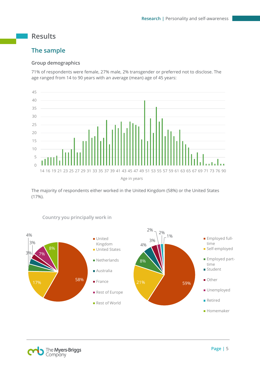## <span id="page-5-0"></span>**Results**

### <span id="page-5-1"></span>**The sample**

#### **Group demographics**

71% of respondents were female, 27% male, 2% transgender or preferred not to disclose. The age ranged from 14 to 90 years with an average (mean) age of 45 years:



The majority of respondents either worked in the United Kingdom (58%) or the United States (17%).



#### **Country you principally work in**

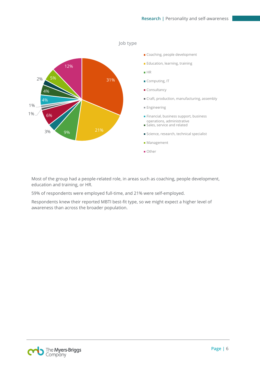

Most of the group had a people-related role, in areas such as coaching, people development, education and training, or HR.

59% of respondents were employed full-time, and 21% were self-employed.

Respondents knew their reported MBTI best-fit type, so we might expect a higher level of awareness than across the broader population.

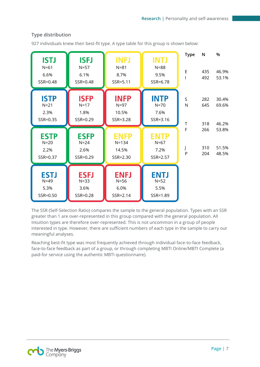| <b>ISTJ</b><br>$N=61$<br>6.6%<br>SSR=0.48 | <b>ISFJ</b><br>$N=57$<br>6.1%<br>SSR=0.48   | <b>INFJ</b><br>$N = 81$<br>8.7%<br>SSR=5.11 | <b>INTJ</b><br>$N = 88$<br>9.5%<br>SSR=6.78 | <b>Type</b><br>E           | N<br>435<br>492          | %<br>46.9%<br>53.1%              |
|-------------------------------------------|---------------------------------------------|---------------------------------------------|---------------------------------------------|----------------------------|--------------------------|----------------------------------|
| <b>ISTP</b><br>$N=21$<br>2.3%<br>SSR=0.35 | <b>ISFP</b><br>$N=17$<br>1.8%<br>SSR=0.29   | <b>INFP</b><br>$N=97$<br>10.5%<br>SSR=3.28  | <b>INTP</b><br>$N=70$<br>7.6%<br>SSR=3.16   | S<br>$\mathsf{N}$          | 282<br>645               | 30.4%<br>69.6%                   |
| <b>ESTP</b><br>$N=20$<br>2.2%<br>SSR=0.37 | <b>ESFP</b><br>$N=24$<br>2.6%<br>SSR=0.29   | ENFP<br>$N = 134$<br>14.5%<br>SSR=2.30      | <b>ENTP</b><br>$N = 67$<br>7.2%<br>SSR=2.57 | $\mathsf T$<br>F<br>J<br>P | 318<br>266<br>310<br>204 | 46.2%<br>53.8%<br>51.5%<br>48.5% |
| <b>ESTJ</b><br>$N=49$<br>5.3%<br>SSR=0.50 | <b>ESFJ</b><br>$N = 33$<br>3.6%<br>SSR=0.28 | <b>ENFJ</b><br>$N=56$<br>6.0%<br>SSR=2.14   | <b>ENTJ</b><br>$N=52$<br>5.5%<br>SSR=1.89   |                            |                          |                                  |

#### **Type distribution**

927 individuals knew their best-fit type. A type table for this group is shown below:

The SSR (Self-Selection Ratio) compares the sample to the general population. Types with an SSR greater than 1 are over-represented in this group compared with the general population. All Intuition types are therefore over-represented. This is not uncommon in a group of people interested in type. However, there are sufficient numbers of each type in the sample to carry out meaningful analyses.

Reaching best-fit type was most frequently achieved through individual face-to-face feedback, face-to-face feedback as part of a group, or through completing MBTI Online/MBTI Complete (a paid-for service using the authentic MBTI questionnaire).

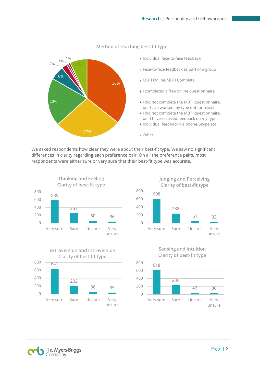

#### **Method of reaching best-fit type**

We asked respondents how clear they were about their best-fit type. We saw no significant differences in clarity regarding each preference pair. On all the preference pairs, most respondents were either sure or very sure that their best-fit type was accurate.













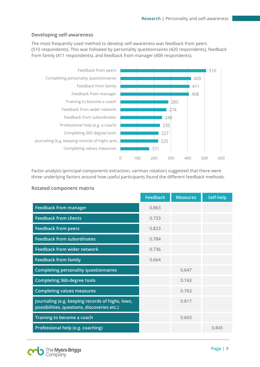#### **Developing self-awareness**

The most frequently used method to develop self-awareness was feedback from peers (510 respondents). This was followed by personality questionnaires (420 respondents), feedback from family (411 respondents), and feedback from manager (408 respondents).



Factor analysis (principal components extraction, varimax rotation) suggested that there were three underlying factors around how useful participants found the different feedback methods.

|                                                                                                 | <b>Feedback</b> | <b>Measures</b> | Self-help |
|-------------------------------------------------------------------------------------------------|-----------------|-----------------|-----------|
| <b>Feedback from manager</b>                                                                    | 0.863           |                 |           |
| <b>Feedback from clients</b>                                                                    | 0.733           |                 |           |
| <b>Feedback from peers</b>                                                                      | 0.823           |                 |           |
| <b>Feedback from subordinates</b>                                                               | 0.784           |                 |           |
| <b>Feedback from wider network</b>                                                              | 0.736           |                 |           |
| <b>Feedback from family</b>                                                                     | 0.664           |                 |           |
| <b>Completing personality questionnaires</b>                                                    |                 | 0.647           |           |
| <b>Completing 360-degree tools</b>                                                              |                 | 0.743           |           |
| <b>Completing values measures</b>                                                               |                 | 0.763           |           |
| Journaling (e.g. keeping records of highs, lows,<br>possibilities, questions, discoveries etc.) |                 | 0.817           |           |
| Training to become a coach                                                                      |                 | 0.663           |           |
| Professional help (e.g. coaching)                                                               |                 |                 | 0.845     |

#### **Rotated component matrix**

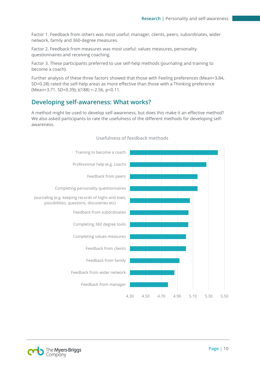Factor 1. Feedback from others was most useful: manager, clients, peers, subordinates, wider network, family and 360-degree measures.

Factor 2. Feedback from measures was most useful: values measures, personality questionnaires and receiving coaching.

Factor 3. These participants preferred to use self-help methods (journaling and training to become a coach).

Further analysis of these three factors showed that those with Feeling preferences (Mean=3.84, SD=0.28) rated the self-help areas as more effective than those with a Thinking preference (Mean=3.71. SD=0.39); t(188) =-2.56, p<0.11.

### <span id="page-10-0"></span>**Developing self-awareness: What works?**

A method might be used to develop self-awareness, but does this make it an effective method? We also asked participants to rate the usefulness of the different methods for developing selfawareness.



#### **Usefulness of feedback methods**

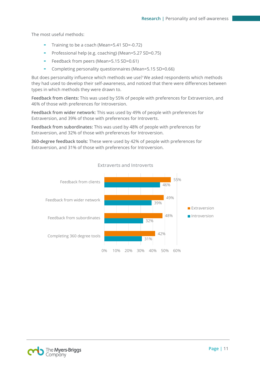The most useful methods:

- Training to be a coach (Mean=5.41 SD=-0.72)
- Professional help (e.g. coaching) (Mean=5.27 SD=0.75)
- Feedback from peers (Mean=5.15 SD=0.61)
- Completing personality questionnaires (Mean=5.15 SD=0.66)

But does personality influence which methods we use? We asked respondents which methods they had used to develop their self-awareness, and noticed that there were differences between types in which methods they were drawn to.

**Feedback from clients:** This was used by 55% of people with preferences for Extraversion, and 46% of those with preferences for Introversion.

**Feedback from wider network:** This was used by 49% of people with preferences for Extraversion, and 39% of those with preferences for Introverts.

**Feedback from subordinates:** This was used by 48% of people with preferences for Extraversion, and 32% of those with preferences for Introversion.

**360-degree feedback tools:** These were used by 42% of people with preferences for Extraversion, and 31% of those with preferences for Introversion.



**Extraverts and Introverts** 

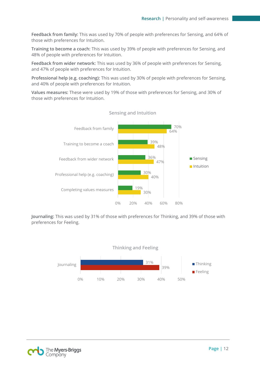**Feedback from family:** This was used by 70% of people with preferences for Sensing, and 64% of those with preferences for Intuition.

**Training to become a coach:** This was used by 39% of people with preferences for Sensing, and 48% of people with preferences for Intuition.

**Feedback from wider network:** This was used by 36% of people with preferences for Sensing, and 47% of people with preferences for Intuition.

**Professional help (e.g. coaching):** This was used by 30% of people with preferences for Sensing, and 40% of people with preferences for Intuition.

**Values measures:** These were used by 19% of those with preferences for Sensing, and 30% of those with preferences for Intuition.



**Sensing and Intuition**

**Journaling:** This was used by 31% of those with preferences for Thinking, and 39% of those with preferences for Feeling.



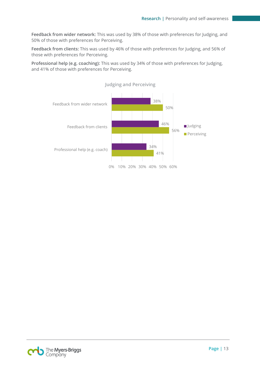**Feedback from wider network:** This was used by 38% of those with preferences for Judging, and 50% of those with preferences for Perceiving.

**Feedback from clients:** This was used by 46% of those with preferences for Judging, and 56% of those with preferences for Perceiving.

**Professional help (e.g. coaching):** This was used by 34% of those with preferences for Judging, and 41% of those with preferences for Perceiving.



The **Myers-Briggs**<br>Company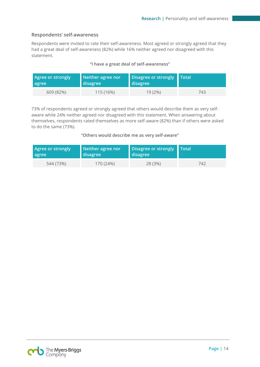#### **Respondents' self-awareness**

Respondents were invited to rate their self-awareness. Most agreed or strongly agreed that they had a great deal of self-awareness (82%) while 16% neither agreed nor disagreed with this statement.

#### **"I have a great deal of self-awareness"**

| <b>Agree or strongly</b> | Neither agree nor | Disagree or strongly Total |     |
|--------------------------|-------------------|----------------------------|-----|
| agree                    | disagree          | disagree                   |     |
| 609 (82%)                | 115 (16%)         | 19(2%)                     | 743 |

73% of respondents agreed or strongly agreed that others would describe them as very selfaware while 24% neither agreed nor disagreed with this statement. When answering about themselves, respondents rated themselves as more self-aware (82%) than if others were asked to do the same (73%).

#### **"Others would describe me as very self-aware"**

| <b>Agree or strongly</b> | Neither agree nor | Disagree or strongly   Total |     |
|--------------------------|-------------------|------------------------------|-----|
| agree                    | disagree          | disagree                     |     |
| 544 (73%)                | 170 (24%)         | 28 (3%)                      | 742 |

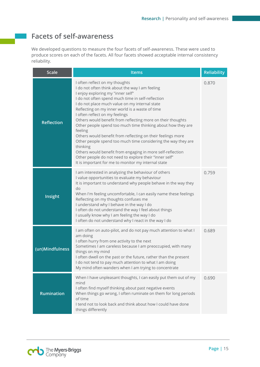## <span id="page-15-0"></span>**Facets of self-awareness**

We developed questions to measure the four facets of self-awareness. These were used to produce scores on each of the facets. All four facets showed acceptable internal consistency reliability.

| <b>Scale</b>      | <b>Items</b>                                                                                                                                                                                                                                                                                                                                                                                                                                                                                                                                                                                                                                                                                                                                                                                                                                             | <b>Reliability</b> |
|-------------------|----------------------------------------------------------------------------------------------------------------------------------------------------------------------------------------------------------------------------------------------------------------------------------------------------------------------------------------------------------------------------------------------------------------------------------------------------------------------------------------------------------------------------------------------------------------------------------------------------------------------------------------------------------------------------------------------------------------------------------------------------------------------------------------------------------------------------------------------------------|--------------------|
| <b>Reflection</b> | I often reflect on my thoughts<br>0.870<br>I do not often think about the way I am feeling<br>I enjoy exploring my "inner self"<br>I do not often spend much time in self-reflection<br>I do not place much value on my internal state<br>Reflecting on my inner world is a waste of time<br>I often reflect on my feelings<br>Others would benefit from reflecting more on their thoughts<br>Other people spend too much time thinking about how they are<br>feeling<br>Others would benefit from reflecting on their feelings more<br>Other people spend too much time considering the way they are<br>thinking<br>Others would benefit from engaging in more self-reflection<br>Other people do not need to explore their "inner self"<br>It is important for me to monitor my internal state<br>I am interested in analyzing the behaviour of others |                    |
| Insight           | I value opportunities to evaluate my behaviour<br>It is important to understand why people behave in the way they<br>do<br>When I'm feeling uncomfortable, I can easily name these feelings<br>Reflecting on my thoughts confuses me<br>I understand why I behave in the way I do<br>I often do not understand the way I feel about things<br>I usually know why I am feeling the way I do<br>I often do not understand why I react in the way I do                                                                                                                                                                                                                                                                                                                                                                                                      | 0.759              |
| (un)Mindfulness   | I am often on auto-pilot, and do not pay much attention to what I<br>am doing<br>I often hurry from one activity to the next<br>Sometimes I am careless because I am preoccupied, with many<br>things on my mind<br>I often dwell on the past or the future, rather than the present<br>I do not tend to pay much attention to what I am doing<br>My mind often wanders when I am trying to concentrate                                                                                                                                                                                                                                                                                                                                                                                                                                                  | 0.689              |
| <b>Rumination</b> | When I have unpleasant thoughts, I can easily put them out of my<br>mind<br>I often find myself thinking about past negative events<br>When things go wrong, I often ruminate on them for long periods<br>of time<br>I tend not to look back and think about how I could have done<br>things differently                                                                                                                                                                                                                                                                                                                                                                                                                                                                                                                                                 | 0.690              |

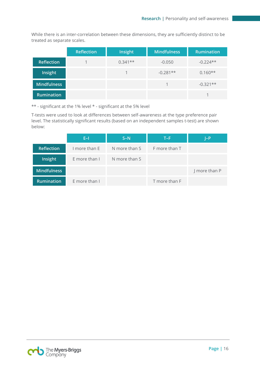While there is an inter-correlation between these dimensions, they are sufficiently distinct to be treated as separate scales.

|                    | <b>Reflection</b> | Insight   | Mindfulness | <b>Rumination</b> |
|--------------------|-------------------|-----------|-------------|-------------------|
| <b>Reflection</b>  |                   | $0.341**$ | $-0.050$    | $-0.224**$        |
| Insight            |                   |           | $-0.281**$  | $0.160**$         |
| <b>Mindfulness</b> |                   |           |             | $-0.321**$        |
| <b>Rumination</b>  |                   |           |             |                   |

\*\* - significant at the 1% level \* - significant at the 5% level

T-tests were used to look at differences between self-awareness at the type preference pair level. The statistically significant results (based on an independent samples t-test) are shown below:

|                    | E-I           | $S-N$         | T-F           | I-P           |
|--------------------|---------------|---------------|---------------|---------------|
| <b>Reflection</b>  | I more than E | N more than S | F more than T |               |
| Insight            | E more than I | N more than S |               |               |
| <b>Mindfulness</b> |               |               |               | J more than P |
| <b>Rumination</b>  | E more than I |               | T more than F |               |

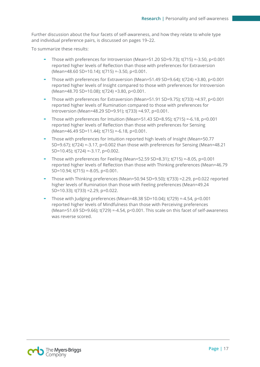Further discussion about the four facets of self-awareness, and how they relate to whole type and individual preference pairs, is discussed on pages 19–22.

To summarize these results:

- Those with preferences for Introversion (Mean=51.20 SD=9.73);  $t(715) = -3.50$ ,  $p < 0.001$ reported higher levels of Reflection than those with preferences for Extraversion (Mean=48.60 SD=10.14); t(715) =-3.50, p<0.001.
- Those with preferences for Extraversion (Mean=51.49 SD=9.64);  $t(724)$  =3.80, p<0.001 reported higher levels of Insight compared to those with preferences for Introversion (Mean=48.70 SD=10.08); t(724) =3.80, p<0.001.
- Those with preferences for Extraversion (Mean=51.91 SD=9.75);  $t(733)$  =4.97,  $p<0.001$ reported higher levels of Rumination compared to those with preferences for Introversion (Mean=48.29 SD=9.91); t(733) =4.97, p<0.001.
- Those with preferences for Intuition (Mean=51.43 SD=8.95); t(715) =-6.18, p<0.001 reported higher levels of Reflection than those with preferences for Sensing (Mean=46.49 SD=11.44); t(715) =-6.18, p<0.001.
- Those with preferences for Intuition reported high levels of Insight (Mean=50.77 SD=9.67); t(724) =-3.17, p=0.002 than those with preferences for Sensing (Mean=48.21 SD=10.45); t(724) =-3.17, p=0.002.
- Those with preferences for Feeling (Mean=52.59 SD=8.31);  $t(715) = -8.05$ ,  $p < 0.001$ reported higher levels of Reflection than those with Thinking preferences (Mean=46.79 SD=10.94;  $t(715) = -8.05$ ,  $p < 0.001$ .
- Those with Thinking preferences (Mean=50.94 SD=9.50); t(733) =2.29, p=0.022 reported higher levels of Rumination than those with Feeling preferences (Mean=49.24 SD=10.33); t(733) =2.29, p=0.022.
- Those with Judging preferences (Mean=48.38 SD=10.04);  $t(729) = -4.54$ , p<0.001 reported higher levels of Mindfulness than those with Perceiving preferences (Mean=51.69 SD=9.66); t(729) =-4.54, p<0.001. This scale on this facet of self-awareness was reverse scored.

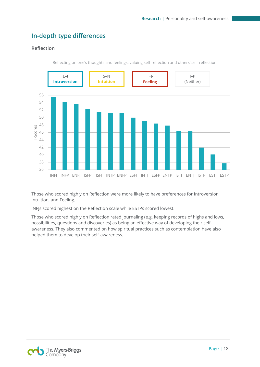## <span id="page-18-0"></span>**In-depth type differences**

#### **Reflection**



Reflecting on one's thoughts and feelings, valuing self-reflection and others' self-reflection

Those who scored highly on Reflection were more likely to have preferences for Introversion, Intuition, and Feeling.

INFJs scored highest on the Reflection scale while ESTPs scored lowest.

Those who scored highly on Reflection rated journaling (e.g. keeping records of highs and lows, possibilities, questions and discoveries) as being an effective way of developing their selfawareness. They also commented on how spiritual practices such as contemplation have also helped them to develop their self-awareness.

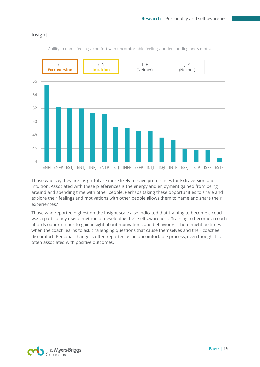#### **Insight**



Ability to name feelings, comfort with uncomfortable feelings, understanding one's motives

Those who say they are insightful are more likely to have preferences for Extraversion and Intuition. Associated with these preferences is the energy and enjoyment gained from being around and spending time with other people. Perhaps taking these opportunities to share and explore their feelings and motivations with other people allows them to name and share their experiences?

Those who reported highest on the Insight scale also indicated that training to become a coach was a particularly useful method of developing their self-awareness. Training to become a coach affords opportunities to gain insight about motivations and behaviours. There might be times when the coach learns to ask challenging questions that cause themselves and their coachee discomfort. Personal change is often reported as an uncomfortable process, even though it is often associated with positive outcomes.

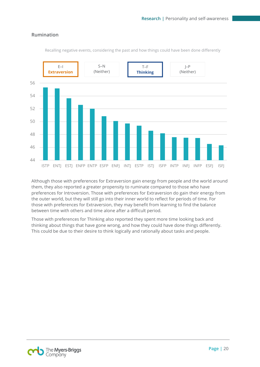#### **Rumination**



Recalling negative events, considering the past and how things could have been done differently

Although those with preferences for Extraversion gain energy from people and the world around them, they also reported a greater propensity to ruminate compared to those who have preferences for Introversion. Those with preferences for Extraversion do gain their energy from the outer world, but they will still go into their inner world to reflect for periods of time. For those with preferences for Extraversion, they may benefit from learning to find the balance between time with others and time alone after a difficult period.

Those with preferences for Thinking also reported they spent more time looking back and thinking about things that have gone wrong, and how they could have done things differently. This could be due to their desire to think logically and rationally about tasks and people.

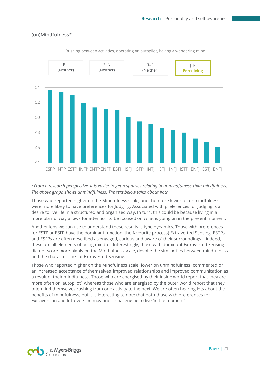#### **(un)Mindfulness\***



Rushing between activities, operating on autopilot, having a wandering mind

#### *\*From a research perspective, it is easier to get responses relating to unmindfulness than mindfulness. The above graph shows unmindfulness. The text below talks about both.*

Those who reported higher on the Mindfulness scale, and therefore lower on unmindfulness, were more likely to have preferences for Judging. Associated with preferences for Judging is a desire to live life in a structured and organized way. In turn, this could be because living in a more planful way allows for attention to be focused on what is going on in the present moment.

Another lens we can use to understand these results is type dynamics. Those with preferences for ESTP or ESFP have the dominant function (the favourite process) Extraverted Sensing. ESTPs and ESFPs are often described as engaged, curious and aware of their surroundings – indeed, these are all elements of being mindful. Interestingly, those with dominant Extraverted Sensing did not score more highly on the Mindfulness scale, despite the similarities between mindfulness and the characteristics of Extraverted Sensing.

Those who reported higher on the Mindfulness scale (lower on unmindfulness) commented on an increased acceptance of themselves, improved relationships and improved communication as a result of their mindfulness. Those who are energised by their inside world report that they are more often on 'autopilot', whereas those who are energised by the outer world report that they often find themselves rushing from one activity to the next. We are often hearing lots about the benefits of mindfulness, but it is interesting to note that both those with preferences for Extraversion and Introversion may find it challenging to live 'in the moment'.

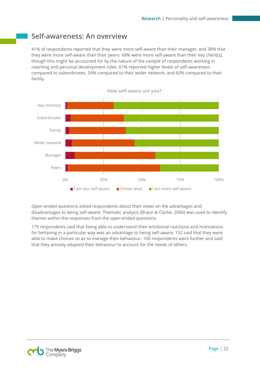## <span id="page-22-0"></span>**Self-awareness: An overview**

41% of respondents reported that they were more self-aware than their manager, and 38% that they were more self-aware than their peers. 68% were more self-aware than their key client(s), though this might be accounted for by the nature of the sample of respondents working in coaching and personal development roles. 61% reported higher levels of self-awareness compared to subordinates, 54% compared to their wider network, and 60% compared to their family.



**How self-aware are you?**

Open-ended questions asked respondents about their views on the advantages and disadvantages to being self-aware. Thematic analysis (Braun & Clarke, 2006) was used to identify themes within the responses from the open-ended questions.

179 respondents said that being able to understand their emotional reactions and motivations for behaving in a particular way was an advantage to being self-aware. 152 said that they were able to make choices so as to manage their behaviour. 100 respondents went further and said that they actively adapted their behaviour to account for the needs of others.

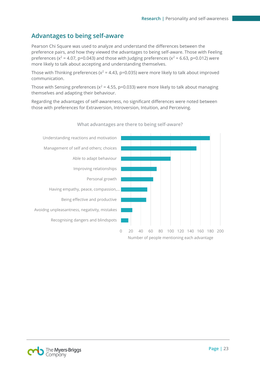## <span id="page-23-0"></span>**Advantages to being self-aware**

Pearson Chi Square was used to analyze and understand the differences between the preference pairs, and how they viewed the advantages to being self-aware. Those with Feeling preferences ( $x^2$  = 4.07, p=0.043) and those with Judging preferences ( $x^2$  = 6.63, p=0.012) were more likely to talk about accepting and understanding themselves.

Those with Thinking preferences ( $x^2$  = 4.43, p=0.035) were more likely to talk about improved communication.

Those with Sensing preferences ( $x^2$  = 4.55, p=0.033) were more likely to talk about managing themselves and adapting their behaviour.

Regarding the advantages of self-awareness, no significant differences were noted between those with preferences for Extraversion, Introversion, Intuition, and Perceiving.



**What advantages are there to being self-aware?**

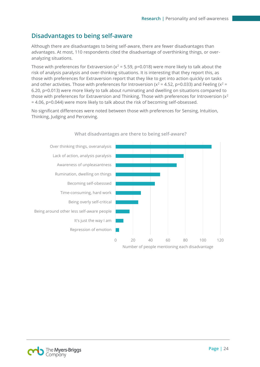## <span id="page-24-0"></span>**Disadvantages to being self-aware**

Although there are disadvantages to being self-aware, there are fewer disadvantages than advantages. At most, 110 respondents cited the disadvantage of overthinking things, or overanalyzing situations.

Those with preferences for Extraversion ( $x^2$  = 5.59, p=0.018) were more likely to talk about the risk of analysis paralysis and over-thinking situations. It is interesting that they report this, as those with preferences for Extraversion report that they like to get into action quickly on tasks and other activities. Those with preferences for Introversion ( $x^2$  = 4.52, p=0.033) and Feeling ( $x^2$  = 6.20, p=0.013) were more likely to talk about ruminating and dwelling on situations compared to those with preferences for Extraversion and Thinking. Those with preferences for Introversion ( $x^2$ ) = 4.06, p=0.044) were more likely to talk about the risk of becoming self-obsessed.

No significant differences were noted between those with preferences for Sensing, Intuition, Thinking, Judging and Perceiving.



#### **What disadvantages are there to being self-aware?**

![](_page_24_Picture_7.jpeg)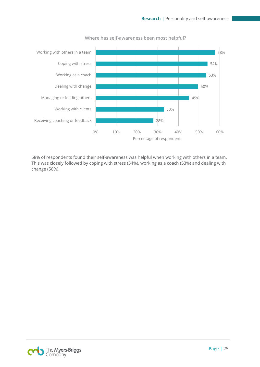![](_page_25_Figure_1.jpeg)

**Where has self-awareness been most helpful?**

58% of respondents found their self-awareness was helpful when working with others in a team. This was closely followed by coping with stress (54%), working as a coach (53%) and dealing with change (50%).

![](_page_25_Picture_4.jpeg)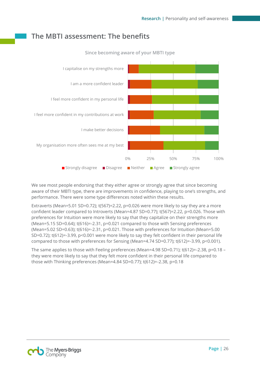## <span id="page-26-0"></span>**The MBTI assessment: The benefits**

![](_page_26_Figure_2.jpeg)

**Since becoming aware of your MBTI type**

We see most people endorsing that they either agree or strongly agree that since becoming aware of their MBTI type, there are improvements in confidence, playing to one's strengths, and performance. There were some type differences noted within these results.

Extraverts (Mean=5.01 SD=0.72);  $t(567)=2.22$ ,  $p=0.026$  were more likely to say they are a more confident leader compared to Introverts (Mean=4.87 SD=0.77); t(567)=2.22, p=0.026. Those with preferences for Intuition were more likely to say that they capitalize on their strengths more (Mean=5.15 SD=0.64); t(616)=-2.31, p=0.021 compared to those with Sensing preferences (Mean=5.02 SD=0.63); t(616)=-2.31, p=0.021. Those with preferences for Intuition (Mean=5.00 SD=0.72); t(612)=-3.99, p<0.001 were more likely to say they felt confident in their personal life compared to those with preferences for Sensing (Mean=4.74 SD=0.77); t(612)=-3.99, p<0.001).

The same applies to those with Feeling preferences (Mean=4.98 SD=0.71); t(612)=-2.38, p=0.18 – they were more likely to say that they felt more confident in their personal life compared to those with Thinking preferences (Mean=4.84 SD=0.77); t(612)=-2.38, p=0.18

![](_page_26_Picture_7.jpeg)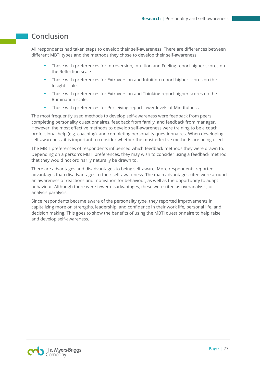## <span id="page-27-0"></span>**Conclusion**

All respondents had taken steps to develop their self-awareness. There are differences between different MBTI types and the methods they chose to develop their self-awareness.

- Those with preferences for Introversion, Intuition and Feeling report higher scores on the Reflection scale.
- Those with preferences for Extraversion and Intuition report higher scores on the Insight scale.
- Those with preferences for Extraversion and Thinking report higher scores on the Rumination scale.
- Those with preferences for Perceiving report lower levels of Mindfulness.

The most frequently used methods to develop self-awareness were feedback from peers, completing personality questionnaires, feedback from family, and feedback from manager. However, the most effective methods to develop self-awareness were training to be a coach, professional help (e.g. coaching), and completing personality questionnaires. When developing self-awareness, it is important to consider whether the most effective methods are being used.

The MBTI preferences of respondents influenced which feedback methods they were drawn to. Depending on a person's MBTI preferences, they may wish to consider using a feedback method that they would not ordinarily naturally be drawn to.

There are advantages and disadvantages to being self-aware. More respondents reported advantages than disadvantages to their self-awareness. The main advantages cited were around an awareness of reactions and motivation for behaviour, as well as the opportunity to adapt behaviour. Although there were fewer disadvantages, these were cited as overanalysis, or analysis paralysis.

Since respondents became aware of the personality type, they reported improvements in capitalizing more on strengths, leadership, and confidence in their work life, personal life, and decision making. This goes to show the benefits of using the MBTI questionnaire to help raise and develop self-awareness.

![](_page_27_Picture_11.jpeg)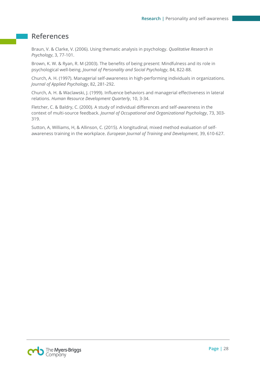### <span id="page-28-0"></span>**References**

Braun, V. & Clarke, V. (2006). Using thematic analysis in psychology. *Qualitative Research in Psychology*, 3, 77-101.

Brown, K. W. & Ryan, R. M (2003). The benefits of being present: Mindfulness and its role in psychological well-being. *Journal of Personality and Social Psychology*, 84, 822-88.

Church, A. H. (1997). Managerial self-awareness in high-performing individuals in organizations. *Journal of Applied Psychology*, 82, 281-292.

Church, A. H. & Waclawski, J. (1999). Influence behaviors and managerial effectiveness in lateral relations. *Human Resource Development Quarterly*, 10, 3-34.

Fletcher, C. & Baldry, C. (2000). A study of individual differences and self-awareness in the context of multi-source feedback. *Journal of Occupational and Organizational Psychology*, 73, 303- 319.

Sutton, A, Williams, H, & Allinson, C. (2015). A longitudinal, mixed method evaluation of selfawareness training in the workplace. *European Journal of Training and Development*, 39, 610-627.

![](_page_28_Picture_8.jpeg)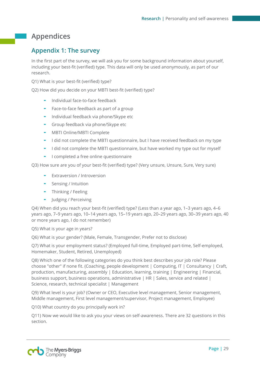## <span id="page-29-0"></span>**Appendices**

## <span id="page-29-1"></span>**Appendix 1: The survey**

In the first part of the survey, we will ask you for some background information about yourself, including your best-fit (verified) type. This data will only be used anonymously, as part of our research.

Q1) What is your best-fit (verified) type?

Q2) How did you decide on your MBTI best-fit (verified) type?

- Individual face-to-face feedback
- Face-to-face feedback as part of a group
- Individual feedback via phone/Skype etc
- Group feedback via phone/Skype etc
- MBTI Online/MBTI Complete
- I did not complete the MBTI questionnaire, but I have received feedback on my type
- I did not complete the MBTI questionnaire, but have worked my type out for myself
- I completed a free online questionnaire

Q3) How sure are you of your best-fit (verified) type? (Very unsure, Unsure, Sure, Very sure)

- Extraversion / Introversion
- Sensing / Intuition
- Thinking / Feeling
- Judging / Perceiving

Q4) When did you reach your best-fit (verified) type? (Less than a year ago, 1–3 years ago, 4–6 years ago, 7–9 years ago, 10–14 years ago, 15–19 years ago, 20–29 years ago, 30–39 years ago, 40 or more years ago, I do not remember)

Q5) What is your age in years?

Q6) What is your gender? (Male, Female, Transgender, Prefer not to disclose)

Q7) What is your employment status? (Employed full-time, Employed part-time, Self-employed, Homemaker, Student, Retired, Unemployed)

Q8) Which one of the following categories do you think best describes your job role? Please choose "other" if none fit. (Coaching, people development | Computing, IT | Consultancy | Craft, production, manufacturing, assembly | Education, learning, training | Engineering | Financial, business support, business operations, administrative | HR | Sales, service and related | Science, research, technical specialist | Management

Q9) What level is your job? (Owner or CEO, Executive level management, Senior management, Middle management, First level management/supervisor, Project management, Employee)

Q10) What country do you principally work in?

Q11) Now we would like to ask you your views on self-awareness. There are 32 questions in this section.

![](_page_29_Picture_27.jpeg)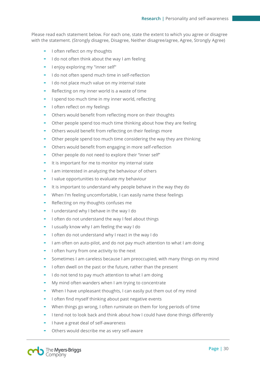Please read each statement below. For each one, state the extent to which you agree or disagree with the statement. (Strongly disagree, Disagree, Neither disagree/agree, Agree, Strongly Agree)

- I often reflect on my thoughts
- I do not often think about the way I am feeling
- I enjoy exploring my "inner self"
- I do not often spend much time in self-reflection
- I do not place much value on my internal state
- Reflecting on my inner world is a waste of time
- I spend too much time in my inner world, reflecting
- I often reflect on my feelings
- Others would benefit from reflecting more on their thoughts
- Other people spend too much time thinking about how they are feeling
- Others would benefit from reflecting on their feelings more
- Other people spend too much time considering the way they are thinking
- Others would benefit from engaging in more self-reflection
- Other people do not need to explore their "inner self"
- It is important for me to monitor my internal state
- I am interested in analyzing the behaviour of others
- I value opportunities to evaluate my behaviour
- It is important to understand why people behave in the way they do
- When I'm feeling uncomfortable. I can easily name these feelings
- Reflecting on my thoughts confuses me
- I understand why I behave in the way I do
- I often do not understand the way I feel about things
- I usually know why I am feeling the way I do
- I often do not understand why I react in the way I do
- I am often on auto-pilot, and do not pay much attention to what I am doing
- I often hurry from one activity to the next
- Sometimes I am careless because I am preoccupied, with many things on my mind
- I often dwell on the past or the future, rather than the present
- I do not tend to pay much attention to what I am doing
- My mind often wanders when I am trying to concentrate
- When I have unpleasant thoughts, I can easily put them out of my mind
- I often find myself thinking about past negative events
- When things go wrong, I often ruminate on them for long periods of time
- I tend not to look back and think about how I could have done things differently
- I have a great deal of self-awareness
- Others would describe me as very self-aware

![](_page_30_Picture_38.jpeg)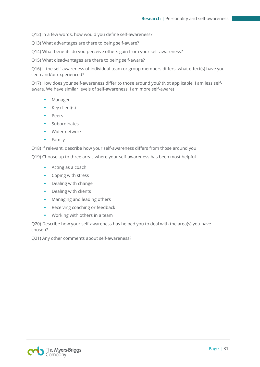Q12) In a few words, how would you define self-awareness?

Q13) What advantages are there to being self-aware?

Q14) What benefits do you perceive others gain from your self-awareness?

Q15) What disadvantages are there to being self-aware?

Q16) If the self-awareness of individual team or group members differs, what effect(s) have you seen and/or experienced?

Q17) How does your self-awareness differ to those around you? (Not applicable, I am less selfaware, We have similar levels of self-awareness, I am more self-aware)

- **Manager**
- Key client(s)
- Peers
- Subordinates
- Wider network
- **Family**

Q18) If relevant, describe how your self-awareness differs from those around you

Q19) Choose up to three areas where your self-awareness has been most helpful

- Acting as a coach
- Coping with stress
- Dealing with change
- Dealing with clients
- Managing and leading others
- Receiving coaching or feedback
- Working with others in a team

Q20) Describe how your self-awareness has helped you to deal with the area(s) you have chosen?

Q21) Any other comments about self-awareness?

![](_page_31_Picture_24.jpeg)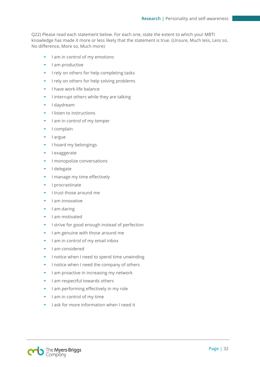Q22) Please read each statement below. For each one, state the extent to which your MBTI knowledge has made it more or less likely that the statement is true. (Unsure, Much less, Less so, No difference, More so, Much more)

- I am in control of my emotions
- I am productive
- I rely on others for help completing tasks
- I rely on others for help solving problems
- I have work-life balance
- I interrupt others while they are talking
- I daydream
- I listen to instructions
- I am in control of my temper
- I complain
- I argue
- I hoard my belongings
- I exaggerate
- I monopolize conversations
- I delegate
- I manage my time effectively
- I procrastinate
- I trust those around me
- I am innovative
- I am daring
- I am motivated
- I strive for good enough instead of perfection
- I am genuine with those around me
- I am in control of my email inbox
- I am considered
- I notice when I need to spend time unwinding
- I notice when I need the company of others
- I am proactive in increasing my network
- I am respectful towards others
- I am performing effectively in my role
- I am in control of my time
- I ask for more information when I need it

![](_page_32_Picture_34.jpeg)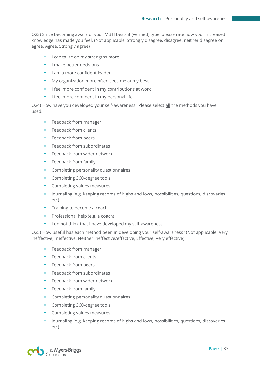Q23) Since becoming aware of your MBTI best-fit (verified) type, please rate how your increased knowledge has made you feel. (Not applicable, Strongly disagree, disagree, neither disagree or agree, Agree, Strongly agree)

- I capitalize on my strengths more
- I make better decisions
- I am a more confident leader
- My organization more often sees me at my best
- I feel more confident in my contributions at work
- I feel more confident in my personal life

Q24) How have you developed your self-awareness? Please select all the methods you have used.

- Feedback from manager
- Feedback from clients
- Feedback from peers
- Feedback from subordinates
- Feedback from wider network
- Feedback from family
- Completing personality questionnaires
- Completing 360-degree tools
- Completing values measures
- Journaling (e.g. keeping records of highs and lows, possibilities, questions, discoveries etc)
- Training to become a coach
- Professional help (e.g. a coach)
- I do not think that I have developed my self-awareness

Q25) How useful has each method been in developing your self-awareness? (Not applicable, Very ineffective, Ineffective, Neither ineffective/effective, Effective, Very effective)

- Feedback from manager
- Feedback from clients
- Feedback from peers
- Feedback from subordinates
- Feedback from wider network
- Feedback from family
- Completing personality questionnaires
- Completing 360-degree tools
- Completing values measures
- Journaling (e.g. keeping records of highs and lows, possibilities, questions, discoveries etc)

![](_page_33_Picture_33.jpeg)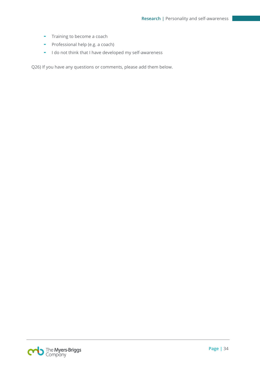- Training to become a coach
- Professional help (e.g. a coach)
- I do not think that I have developed my self-awareness

Q26) If you have any questions or comments, please add them below.

![](_page_34_Picture_5.jpeg)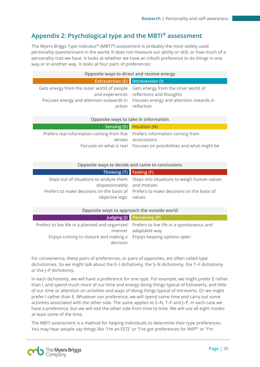## <span id="page-35-0"></span>**Appendix 2: Psychological type and the MBTI® assessment**

The Myers-Briggs Type Indicator® (MBTI®) assessment is probably the most widely used personality questionnaire in the world. It does not measure our ability or skill, or how much of a personality trait we have. It looks at whether we have an inbuilt preference to do things in one way or in another way. It looks at four pairs of preferences:

| Opposite ways to direct and receive energy                                                                                                                         |                                                               |  |
|--------------------------------------------------------------------------------------------------------------------------------------------------------------------|---------------------------------------------------------------|--|
| <b>Extraversion (E)</b> Introversion (I)                                                                                                                           |                                                               |  |
| Gets energy from the outer world of people Gets energy from the inner world of<br>Focuses energy and attention outwards in Focuses energy and attention inwards in | and experiences reflections and thoughts<br>action reflection |  |

#### **Opposite ways to take in information**

|                                                                           | Sensing $(S)$ Intuition $(N)$                                      |
|---------------------------------------------------------------------------|--------------------------------------------------------------------|
| Prefers real information coming from five Prefers information coming from |                                                                    |
|                                                                           | senses associations                                                |
|                                                                           | Focuses on what is real Focuses on possibilities and what might be |
|                                                                           |                                                                    |

#### **Opposite ways to decide and come to conclusions**

| Thinking $(T)$ Feeling $(F)$                          |                                                                                                                                                                            |
|-------------------------------------------------------|----------------------------------------------------------------------------------------------------------------------------------------------------------------------------|
| dispassionately and motives<br>objective logic values | Steps out of situations to analyze them Steps into situations to weigh human values<br>Prefers to make decisions on the basis of Prefers to make decisions on the basis of |
|                                                       |                                                                                                                                                                            |

#### **Opposite ways to approach the outside world**

|                                                                                                                                                                            | Judging (J) Perceiving (P) |
|----------------------------------------------------------------------------------------------------------------------------------------------------------------------------|----------------------------|
| Prefers to live life in a planned and organized Prefers to live life in a spontaneous and<br>Enjoys coming to closure and making a Enjoys keeping options open<br>decision | manner adaptable way       |

For convenience, these pairs of preferences, or pairs of opposites, are often called type dichotomies. So we might talk about the E–I dichotomy, the S–N dichotomy, the T–F dichotomy or the J–P dichotomy.

In each dichotomy, we will have a preference for one type. For example, we might prefer E rather than I, and spend much more of our time and energy doing things typical of Extraverts, and little of our time or attention on activities and ways of doing things typical of Introverts. Or we might prefer I rather than E. Whatever our preference, we will spend some time and carry out some activities associated with the other side. The same applies to S–N, T–F and J–P. In each case we have a preference, but we will visit the other side from time to time. We will use all eight modes at least some of the time.

The MBTI assessment is a method for helping individuals to determine their type preferences. You may hear people say things like "I'm an ESTJ" or "I've got preferences for INFP" or "I'm

![](_page_35_Picture_13.jpeg)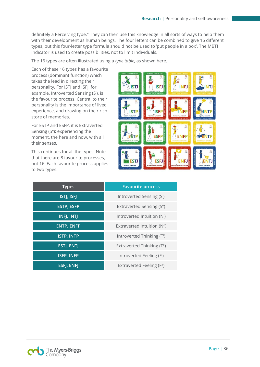definitely a Perceiving type." They can then use this knowledge in all sorts of ways to help them with their development as human beings. The four letters can be combined to give 16 different types, but this four-letter type formula should not be used to 'put people in a box'. The MBTI indicator is used to create possibilities, not to limit individuals.

The 16 types are often illustrated using a *type table*, as shown here.

Each of these 16 types has a favourite process (dominant function) which takes the lead in directing their personality. For ISTJ and ISFJ, for example, Introverted Sensing (Si), is the favourite process. Central to their personality is the importance of lived experience, and drawing on their rich store of memories.

For ESTP and ESFP, it is Extraverted Sensing (S<sup>e</sup>): experiencing the moment, the here and now, with all their senses.

This continues for all the types. Note that there are 8 favourite processes, not 16. Each favourite process applies to two types.

![](_page_36_Picture_6.jpeg)

| <b>Types</b>      | <b>Favourite process</b>                |
|-------------------|-----------------------------------------|
| ISTJ, ISFJ        | Introverted Sensing (Si)                |
| <b>ESTP, ESFP</b> | Extraverted Sensing (S <sup>e</sup> )   |
| <b>INFJ, INTJ</b> | Introverted Intuition (N <sup>i</sup> ) |
| <b>ENTP, ENFP</b> | Extraverted Intuition ( $Ne$ )          |
| <b>ISTP, INTP</b> | Introverted Thinking (T <sup>i</sup> )  |
| ESTJ, ENTJ        | Extraverted Thinking (T <sup>e</sup> )  |
| <b>ISFP, INFP</b> | Introverted Feeling (Fi)                |
| ESFJ, ENFJ        | Extraverted Feeling (F <sup>e</sup> )   |

![](_page_36_Picture_8.jpeg)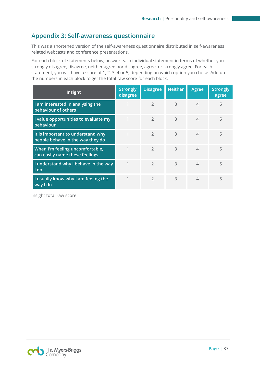## <span id="page-37-0"></span>**Appendix 3: Self-awareness questionnaire**

This was a shortened version of the self-awareness questionnaire distributed in self-awareness related webcasts and conference presentations.

For each block of statements below, answer each individual statement in terms of whether you strongly disagree, disagree, neither agree nor disagree, agree, or strongly agree. For each statement, you will have a score of 1, 2, 3, 4 or 5, depending on which option you chose. Add up the numbers in each block to get the total raw score for each block.

| Insight                                                               | <b>Strongly</b><br>disagree | <b>Disagree</b> | <b>Neither</b> | <b>Agree</b>             | <b>Strongly</b><br>agree |
|-----------------------------------------------------------------------|-----------------------------|-----------------|----------------|--------------------------|--------------------------|
| I am interested in analysing the<br>behaviour of others               |                             | $\overline{2}$  | 3              | 4                        | 5                        |
| I value opportunities to evaluate my<br>behaviour                     | 1                           | $\mathcal{P}$   | 3              | $\overline{4}$           | 5                        |
| It is important to understand why<br>people behave in the way they do | 1                           | $\mathcal{P}$   | 3              | $\overline{\mathcal{A}}$ | 5                        |
| When I'm feeling uncomfortable, I<br>can easily name these feelings   | 1                           | $\mathcal{P}$   | 3              | $\overline{4}$           | 5                        |
| I understand why I behave in the way<br>I do                          | 1                           | $\mathcal{P}$   | 3              | $\overline{4}$           | 5                        |
| I usually know why I am feeling the<br>way I do                       | 1                           | $\mathcal{P}$   | 3              | $\overline{4}$           | 5                        |

Insight total raw score:

![](_page_37_Picture_6.jpeg)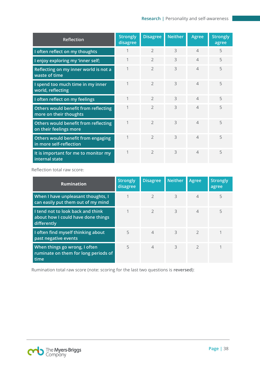| Reflection                                                     | <b>Strongly</b><br>disagree | <b>Disagree</b> | <b>Neither</b> | Agree          | <b>Strongly</b><br>agree |
|----------------------------------------------------------------|-----------------------------|-----------------|----------------|----------------|--------------------------|
| I often reflect on my thoughts                                 |                             | $\mathcal{P}$   | 3              | $\Delta$       | 5                        |
| I enjoy exploring my 'inner self;                              |                             | $\overline{2}$  | 3              | $\overline{4}$ | 5                        |
| Reflecting on my inner world is not a<br>waste of time         |                             | $\overline{2}$  | 3              | $\Delta$       | 5                        |
| I spend too much time in my inner<br>world, reflecting         | 1                           | $\mathcal{P}$   | 3              | $\Delta$       | 5                        |
| I often reflect on my feelings                                 | 1                           | $\overline{2}$  | 3              | $\Delta$       | 5                        |
| Others would benefit from reflecting<br>more on their thoughts |                             | $\mathcal{P}$   | 3              | $\Delta$       | 5                        |
| Others would benefit from reflecting<br>on their feelings more | 1                           | $\mathcal{P}$   | 3              | $\Delta$       | 5                        |
| Others would benefit from engaging<br>in more self-reflection  | 1                           | $\overline{2}$  | 3              | $\Delta$       | 5                        |
| It is important for me to monitor my<br>internal state         |                             | $\mathcal{P}$   | 3              | $\Delta$       | 5                        |

Reflection total raw score:

| <b>Rumination</b>                                                                      | <b>Strongly</b><br>disagree | <b>Disagree</b> | <b>Neither</b> | Agree          | <b>Strongly</b><br>agree |
|----------------------------------------------------------------------------------------|-----------------------------|-----------------|----------------|----------------|--------------------------|
| When I have unpleasant thoughts, I<br>can easily put them out of my mind               |                             | $\mathcal{P}$   | 3              | $\overline{4}$ | 5                        |
| I tend not to look back and think<br>about how I could have done things<br>differently |                             | $\mathcal{P}$   | 3              | $\overline{4}$ | 5                        |
| I often find myself thinking about<br>past negative events                             | 5                           | $\overline{4}$  | 3              | $\mathcal{P}$  |                          |
| When things go wrong, I often<br>ruminate on them for long periods of<br>time          | 5                           | $\overline{4}$  | 3              | $\mathcal{P}$  |                          |

Rumination total raw score (note: scoring for the last two questions is **reversed**):

![](_page_38_Picture_5.jpeg)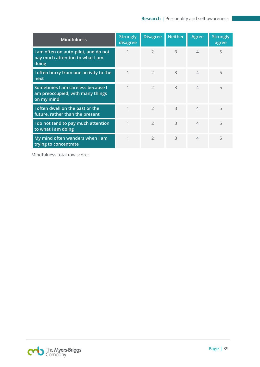| <b>Mindfulness</b>                                                                  | <b>Strongly</b><br>disagree | <b>Disagree</b> | <b>Neither</b> | <b>Agree</b> | <b>Strongly</b><br>agree |
|-------------------------------------------------------------------------------------|-----------------------------|-----------------|----------------|--------------|--------------------------|
| I am often on auto-pilot, and do not<br>pay much attention to what I am<br>doing    | 1                           | $\mathcal{P}$   | 3              | $\Delta$     | 5                        |
| I often hurry from one activity to the<br>next                                      | 1                           | $\mathcal{P}$   | 3              | $\Delta$     | 5                        |
| Sometimes I am careless because I<br>am preoccupied, with many things<br>on my mind | 1                           | $\mathcal{P}$   | 3              | $\Delta$     | 5                        |
| I often dwell on the past or the<br>future, rather than the present                 | 1                           | $\mathfrak{D}$  | 3              | $\Delta$     | 5                        |
| I do not tend to pay much attention<br>to what I am doing                           | 1                           | $\mathfrak{D}$  | 3              | $\Delta$     | 5                        |
| My mind often wanders when I am<br>trying to concentrate                            | 1                           | $\mathcal{P}$   | 3              | $\Delta$     | 5                        |

Mindfulness total raw score:

![](_page_39_Picture_3.jpeg)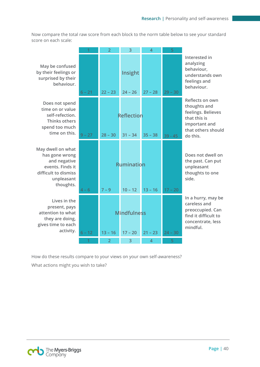Now compare the total raw score from each block to the norm table below to see your standard score on each scale:

|                                                                                                                  |          | $\overline{2}$ | 3                    | 4              | 5         |                                                                                                                 |
|------------------------------------------------------------------------------------------------------------------|----------|----------------|----------------------|----------------|-----------|-----------------------------------------------------------------------------------------------------------------|
| May be confused<br>by their feelings or<br>surprised by their<br>behaviour.                                      | $6 - 21$ | $22 - 23$      | Insight<br>$24 - 26$ | $27 - 28$      | $29 - 30$ | Interested in<br>analyzing<br>behaviour,<br>understands own<br>feelings and<br>behaviour.                       |
| Does not spend<br>time on or value<br>self-refection.<br><b>Thinks others</b><br>spend too much<br>time on this. |          |                | <b>Reflection</b>    |                |           | Reflects on own<br>thoughts and<br>feelings. Believes<br>that this is<br>important and<br>that others should    |
|                                                                                                                  | $9 - 27$ | $28 - 30$      | $31 - 34$            | $35 - 38$      | $39 - 45$ | do this.                                                                                                        |
| May dwell on what<br>has gone wrong<br>and negative<br>events. Finds it<br>difficult to dismiss<br>unpleasant    |          |                | Rumination           |                |           | Does not dwell on<br>the past. Can put<br>unpleasant<br>thoughts to one<br>side.                                |
| thoughts.                                                                                                        | $4 - 6$  | $7 - 9$        | $10 - 12$            | $13 - 16$      | $17 - 20$ |                                                                                                                 |
| Lives in the<br>present, pays<br>attention to what<br>they are doing,<br>gives time to each                      |          |                | <b>Mindfulness</b>   |                |           | In a hurry, may be<br>careless and<br>preoccupied. Can<br>find it difficult to<br>concentrate, less<br>mindful. |
| activity.                                                                                                        | $6 - 12$ | $13 - 16$      | $17 - 20$            | $21 - 23$      | $24 - 30$ |                                                                                                                 |
|                                                                                                                  |          | $\overline{2}$ | 3                    | $\overline{4}$ | 5         |                                                                                                                 |

How do these results compare to your views on your own self-awareness? What actions might you wish to take?

![](_page_40_Picture_4.jpeg)